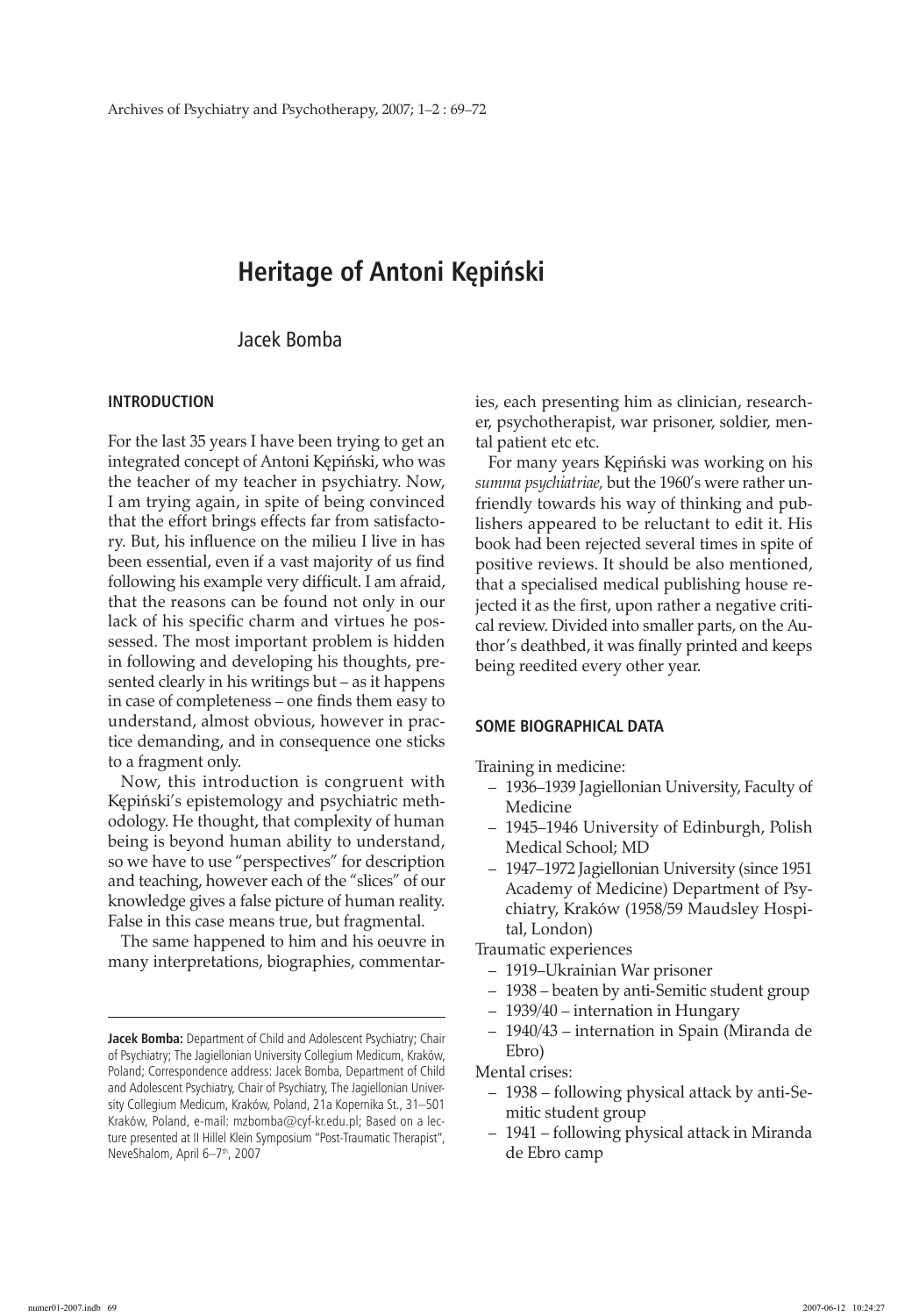# **Heritage of Antoni Kępiński**

# Jacek Bomba

## **Introduction**

For the last 35 years I have been trying to get an integrated concept of Antoni Kępiński, who was the teacher of my teacher in psychiatry. Now, I am trying again, in spite of being convinced that the effort brings effects far from satisfactory. But, his influence on the milieu I live in has been essential, even if a vast majority of us find following his example very difficult. I am afraid, that the reasons can be found not only in our lack of his specific charm and virtues he possessed. The most important problem is hidden in following and developing his thoughts, presented clearly in his writings but – as it happens in case of completeness – one finds them easy to understand, almost obvious, however in practice demanding, and in consequence one sticks to a fragment only.

Now, this introduction is congruent with Kępiński's epistemology and psychiatric methodology. He thought, that complexity of human being is beyond human ability to understand, so we have to use "perspectives" for description and teaching, however each of the "slices" of our knowledge gives a false picture of human reality. False in this case means true, but fragmental.

The same happened to him and his oeuvre in many interpretations, biographies, commentaries, each presenting him as clinician, researcher, psychotherapist, war prisoner, soldier, mental patient etc etc.

For many years Kępiński was working on his *summa psychiatriae,* but the 1960's were rather unfriendly towards his way of thinking and publishers appeared to be reluctant to edit it. His book had been rejected several times in spite of positive reviews. It should be also mentioned, that a specialised medical publishing house rejected it as the first, upon rather a negative critical review. Divided into smaller parts, on the Author's deathbed, it was finally printed and keeps being reedited every other year.

#### **Some biographical data**

Training in medicine:

- 1936–1939 Jagiellonian University, Faculty of Medicine
- 1945–1946 University of Edinburgh, Polish Medical School; MD
- 1947–1972 Jagiellonian University (since 1951 Academy of Medicine) Department of Psychiatry, Kraków (1958/59 Maudsley Hospital, London)

Traumatic experiences

- 1919–Ukrainian War prisoner
- 1938 beaten by anti-Semitic student group
- 1939/40 internation in Hungary
- 1940/43 internation in Spain (Miranda de Ebro)

Mental crises:

- 1938 following physical attack by anti-Semitic student group
- 1941 following physical attack in Miranda de Ebro camp

**Jacek Bomba:** Department of Child and Adolescent Psychiatry; Chair of Psychiatry; The Jagiellonian University Collegium Medicum, Kraków, Poland; Correspondence address: Jacek Bomba, Department of Child and Adolescent Psychiatry, Chair of Psychiatry, The Jagiellonian University Collegium Medicum, Kraków, Poland, 21a Kopernika St., 31–501 Kraków, Poland, e-mail: mzbomba@cyf-kr.edu.pl; Based on a lecture presented at II Hillel Klein Symposium "Post-Traumatic Therapist", NeveShalom, April 6-7<sup>th</sup>, 2007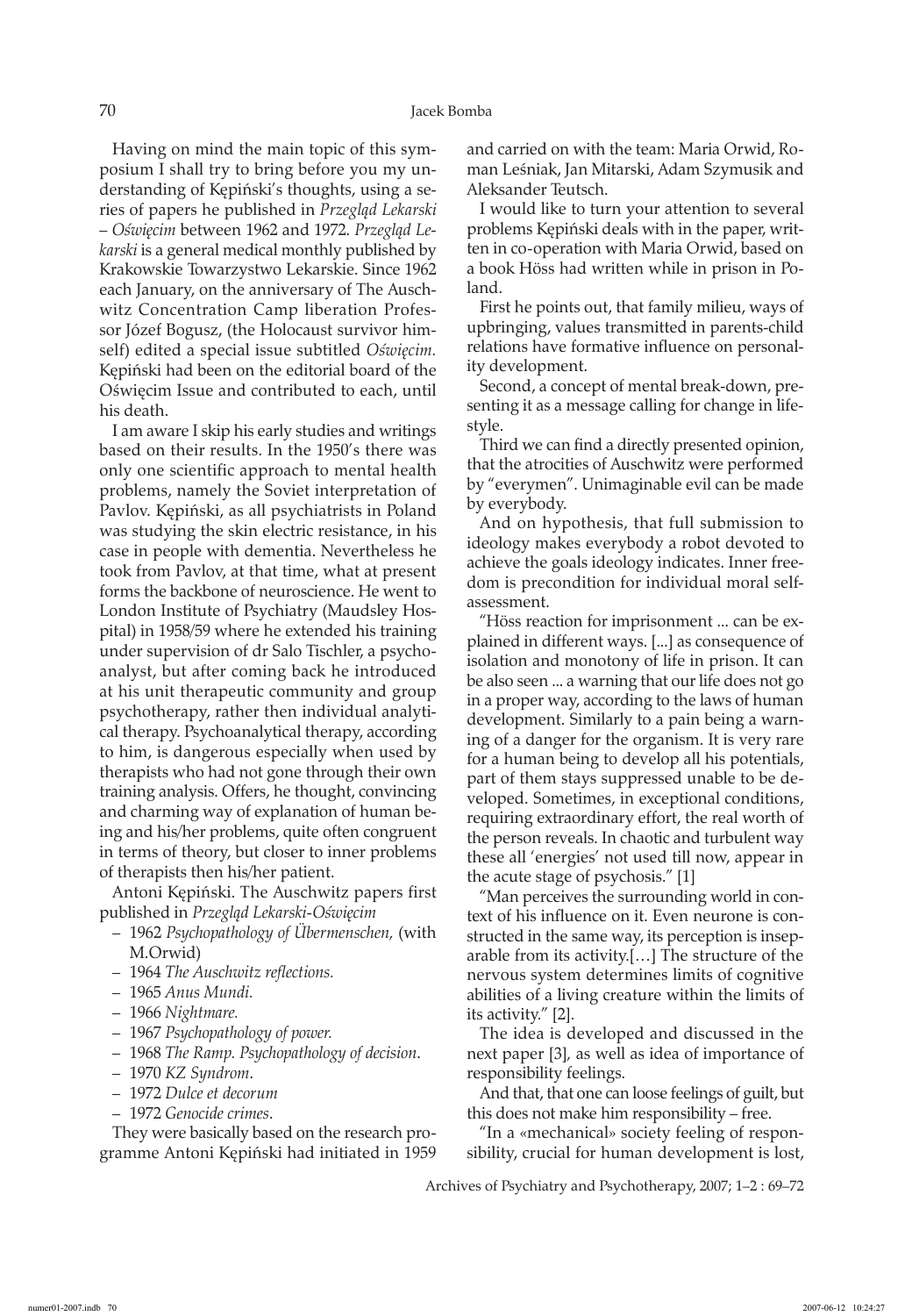Having on mind the main topic of this symposium I shall try to bring before you my understanding of Kępiński's thoughts, using a series of papers he published in *Przegląd Lekarski – Oświęcim* between 1962 and 1972. *Przegląd Lekarski* is a general medical monthly published by Krakowskie Towarzystwo Lekarskie. Since 1962 each January, on the anniversary of The Auschwitz Concentration Camp liberation Professor Józef Bogusz, (the Holocaust survivor himself) edited a special issue subtitled *Oświęcim.*  Kępiński had been on the editorial board of the Oświęcim Issue and contributed to each, until his death.

I am aware I skip his early studies and writings based on their results. In the 1950's there was only one scientific approach to mental health problems, namely the Soviet interpretation of Pavlov. Kępiński, as all psychiatrists in Poland was studying the skin electric resistance, in his case in people with dementia. Nevertheless he took from Pavlov, at that time, what at present forms the backbone of neuroscience. He went to London Institute of Psychiatry (Maudsley Hospital) in 1958/59 where he extended his training under supervision of dr Salo Tischler, a psychoanalyst, but after coming back he introduced at his unit therapeutic community and group psychotherapy, rather then individual analytical therapy. Psychoanalytical therapy, according to him, is dangerous especially when used by therapists who had not gone through their own training analysis. Offers, he thought, convincing and charming way of explanation of human being and his/her problems, quite often congruent in terms of theory, but closer to inner problems of therapists then his/her patient.

Antoni Kępiński. The Auschwitz papers first published in *Przegląd Lekarski-Oświęcim*

- 1962 *Psychopathology of Übermenschen,* (with M.Orwid)
- 1964 *The Auschwitz reflections.*
- 1965 *Anus Mundi.*
- 1966 *Nightmare.*
- 1967 *Psychopathology of power.*
- 1968 *The Ramp. Psychopathology of decision*.
- 1970 *KZ Syndrom*.
- 1972 *Dulce et decorum*
- 1972 *Genocide crimes*.

They were basically based on the research programme Antoni Kępiński had initiated in 1959 and carried on with the team: Maria Orwid, Roman Leśniak, Jan Mitarski, Adam Szymusik and Aleksander Teutsch.

I would like to turn your attention to several problems Kępiński deals with in the paper, written in co-operation with Maria Orwid, based on a book Höss had written while in prison in Poland.

First he points out, that family milieu, ways of upbringing, values transmitted in parents-child relations have formative influence on personality development.

Second, a concept of mental break-down, presenting it as a message calling for change in lifestyle.

Third we can find a directly presented opinion, that the atrocities of Auschwitz were performed by "everymen". Unimaginable evil can be made by everybody.

And on hypothesis, that full submission to ideology makes everybody a robot devoted to achieve the goals ideology indicates. Inner freedom is precondition for individual moral selfassessment.

"Höss reaction for imprisonment ... can be explained in different ways. [...] as consequence of isolation and monotony of life in prison. It can be also seen ... a warning that our life does not go in a proper way, according to the laws of human development. Similarly to a pain being a warning of a danger for the organism. It is very rare for a human being to develop all his potentials, part of them stays suppressed unable to be developed. Sometimes, in exceptional conditions, requiring extraordinary effort, the real worth of the person reveals. In chaotic and turbulent way these all 'energies' not used till now, appear in the acute stage of psychosis." [1]

"Man perceives the surrounding world in context of his influence on it. Even neurone is constructed in the same way, its perception is inseparable from its activity.[…] The structure of the nervous system determines limits of cognitive abilities of a living creature within the limits of its activity." [2].

The idea is developed and discussed in the next paper [3]*,* as well as idea of importance of responsibility feelings.

And that, that one can loose feelings of guilt, but this does not make him responsibility – free.

"In a «mechanical» society feeling of responsibility, crucial for human development is lost,

Archives of Psychiatry and Psychotherapy, 2007; 1–2 : 69–72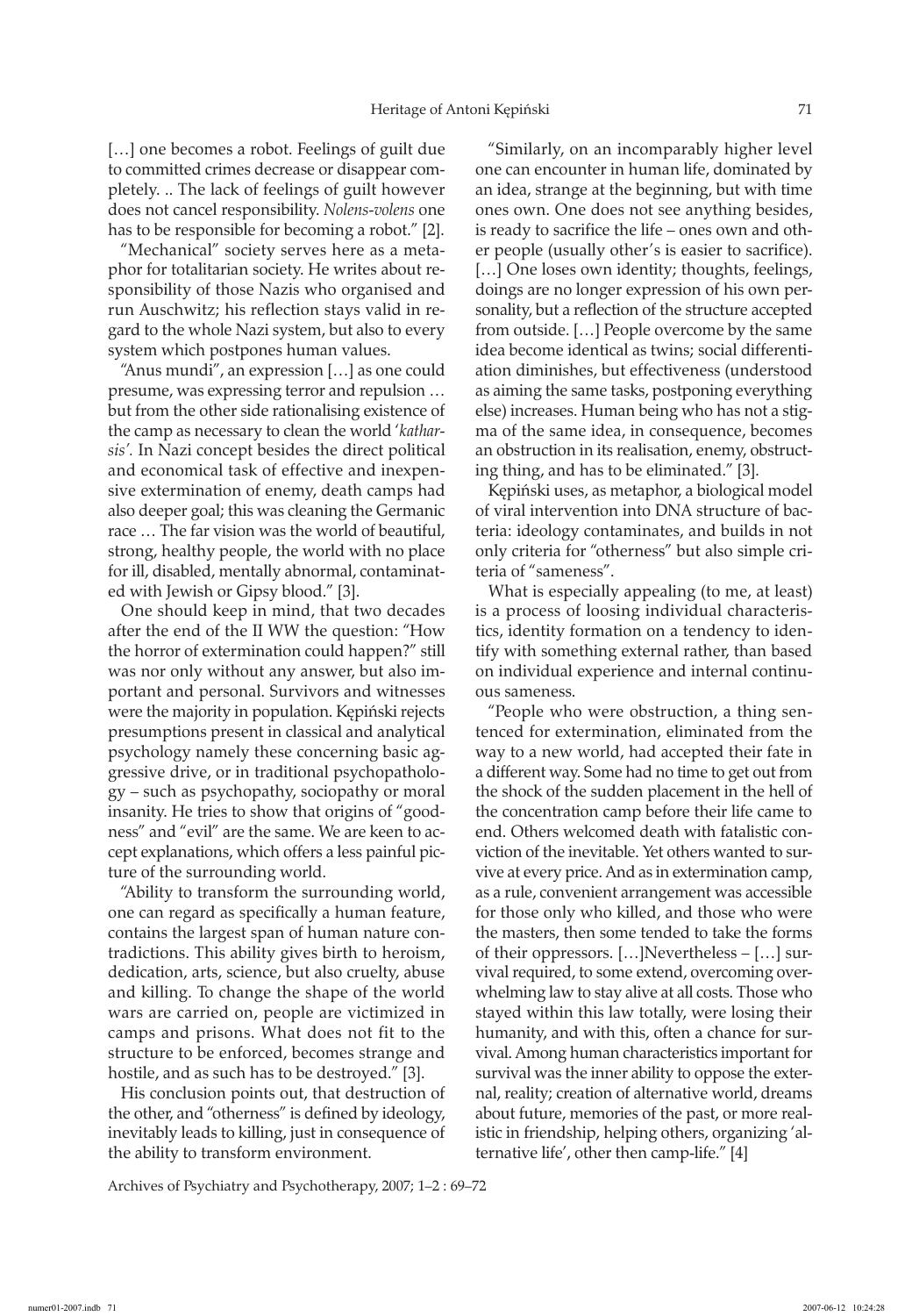[…] one becomes a robot. Feelings of guilt due to committed crimes decrease or disappear completely. .. The lack of feelings of guilt however does not cancel responsibility. *Nolens-volens* one has to be responsible for becoming a robot." [2].

"Mechanical" society serves here as a metaphor for totalitarian society. He writes about responsibility of those Nazis who organised and run Auschwitz; his reflection stays valid in regard to the whole Nazi system, but also to every system which postpones human values.

"Anus mundi", an expression […] as one could presume, was expressing terror and repulsion … but from the other side rationalising existence of the camp as necessary to clean the world '*katharsis'.* In Nazi concept besides the direct political and economical task of effective and inexpensive extermination of enemy, death camps had also deeper goal; this was cleaning the Germanic race … The far vision was the world of beautiful, strong, healthy people, the world with no place for ill, disabled, mentally abnormal, contaminated with Jewish or Gipsy blood." [3].

One should keep in mind, that two decades after the end of the II WW the question: "How the horror of extermination could happen?" still was nor only without any answer, but also important and personal. Survivors and witnesses were the majority in population. Kępiński rejects presumptions present in classical and analytical psychology namely these concerning basic aggressive drive, or in traditional psychopathology – such as psychopathy, sociopathy or moral insanity. He tries to show that origins of "goodness" and "evil" are the same. We are keen to accept explanations, which offers a less painful picture of the surrounding world.

"Ability to transform the surrounding world, one can regard as specifically a human feature, contains the largest span of human nature contradictions. This ability gives birth to heroism, dedication, arts, science, but also cruelty, abuse and killing. To change the shape of the world wars are carried on, people are victimized in camps and prisons. What does not fit to the structure to be enforced, becomes strange and hostile, and as such has to be destroyed." [3].

His conclusion points out, that destruction of the other, and "otherness" is defined by ideology, inevitably leads to killing, just in consequence of the ability to transform environment.

"Similarly, on an incomparably higher level one can encounter in human life, dominated by an idea, strange at the beginning, but with time ones own. One does not see anything besides, is ready to sacrifice the life – ones own and other people (usually other's is easier to sacrifice). [...] One loses own identity; thoughts, feelings, doings are no longer expression of his own personality, but a reflection of the structure accepted from outside. […] People overcome by the same idea become identical as twins; social differentiation diminishes, but effectiveness (understood as aiming the same tasks, postponing everything else) increases. Human being who has not a stigma of the same idea, in consequence, becomes an obstruction in its realisation, enemy, obstructing thing, and has to be eliminated." [3].

Kępiński uses, as metaphor, a biological model of viral intervention into DNA structure of bacteria: ideology contaminates, and builds in not only criteria for "otherness" but also simple criteria of "sameness".

What is especially appealing (to me, at least) is a process of loosing individual characteristics, identity formation on a tendency to identify with something external rather, than based on individual experience and internal continuous sameness.

"People who were obstruction, a thing sentenced for extermination, eliminated from the way to a new world, had accepted their fate in a different way. Some had no time to get out from the shock of the sudden placement in the hell of the concentration camp before their life came to end. Others welcomed death with fatalistic conviction of the inevitable. Yet others wanted to survive at every price. And as in extermination camp, as a rule, convenient arrangement was accessible for those only who killed, and those who were the masters, then some tended to take the forms of their oppressors. […]Nevertheless – […] survival required, to some extend, overcoming overwhelming law to stay alive at all costs. Those who stayed within this law totally, were losing their humanity, and with this, often a chance for survival. Among human characteristics important for survival was the inner ability to oppose the external, reality; creation of alternative world, dreams about future, memories of the past, or more realistic in friendship, helping others, organizing 'alternative life', other then camp-life." [4]

Archives of Psychiatry and Psychotherapy, 2007; 1–2 : 69–72